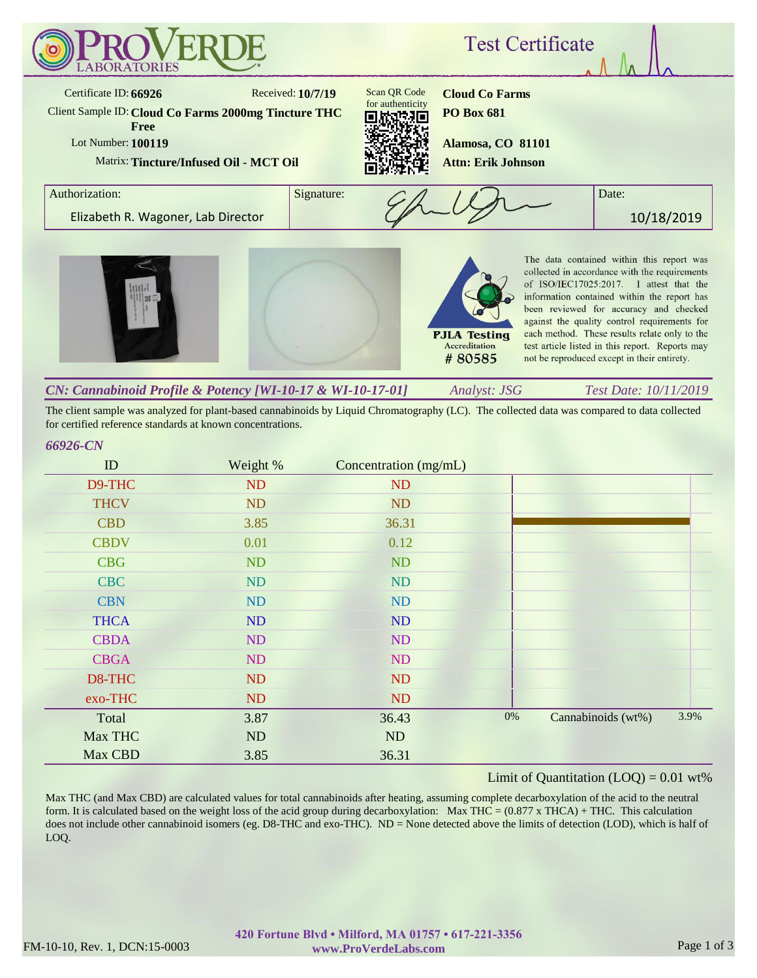

The client sample was analyzed for plant-based cannabinoids by Liquid Chromatography (LC). The collected data was compared to data collected for certified reference standards at known concentrations.

## *66926-CN*

| ID          | Weight % | Concentration (mg/mL) |       |                    |      |
|-------------|----------|-----------------------|-------|--------------------|------|
| D9-THC      | ND       | <b>ND</b>             |       |                    |      |
| <b>THCV</b> | ND       | <b>ND</b>             |       |                    |      |
| <b>CBD</b>  | 3.85     | 36.31                 |       |                    |      |
| <b>CBDV</b> | 0.01     | 0.12                  |       |                    |      |
| <b>CBG</b>  | ND       | <b>ND</b>             |       |                    |      |
| <b>CBC</b>  | ND       | ND                    |       |                    |      |
| <b>CBN</b>  | ND       | <b>ND</b>             |       |                    |      |
| <b>THCA</b> | ND       | <b>ND</b>             |       |                    |      |
| <b>CBDA</b> | ND       | <b>ND</b>             |       |                    |      |
| <b>CBGA</b> | ND       | ND                    |       |                    |      |
| D8-THC      | ND       | <b>ND</b>             |       |                    |      |
| exo-THC     | ND       | <b>ND</b>             |       |                    |      |
| Total       | 3.87     | 36.43                 | $0\%$ | Cannabinoids (wt%) | 3.9% |
| Max THC     | ND       | ND                    |       |                    |      |
| Max CBD     | 3.85     | 36.31                 |       |                    |      |

## Limit of Quantitation  $(LOQ) = 0.01$  wt%

Max THC (and Max CBD) are calculated values for total cannabinoids after heating, assuming complete decarboxylation of the acid to the neutral form. It is calculated based on the weight loss of the acid group during decarboxylation: Max THC =  $(0.877 \times THCA) + THC$ . This calculation does not include other cannabinoid isomers (eg. D8-THC and exo-THC). ND = None detected above the limits of detection (LOD), which is half of LOQ.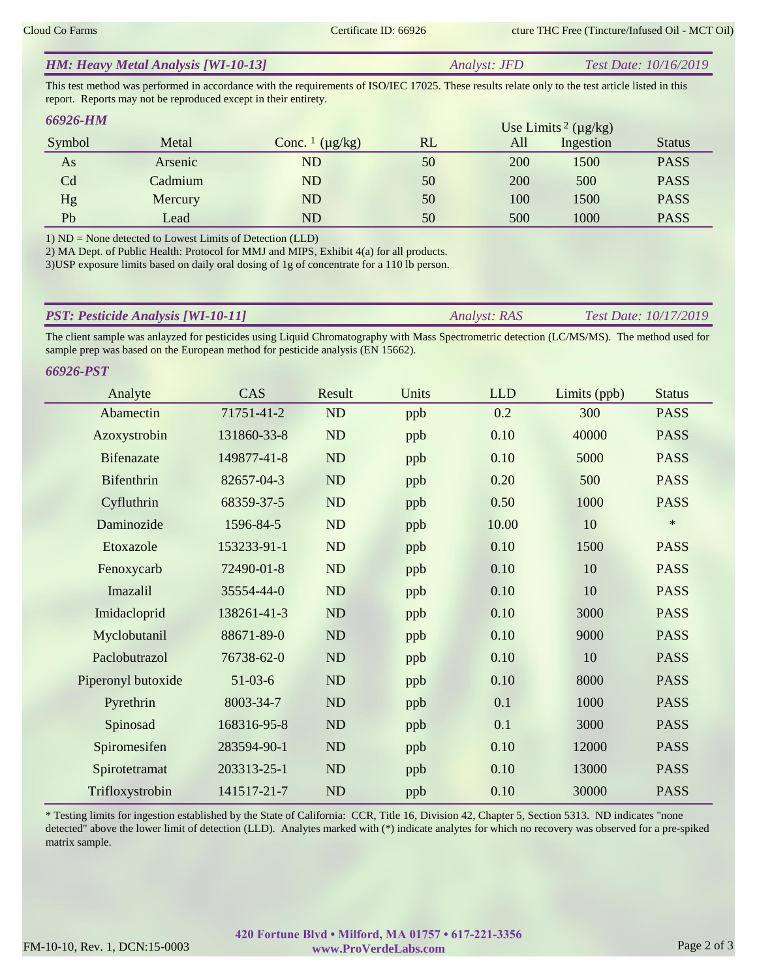| <b>HM: Heavy Metal Analysis [WI-10-13]</b> | <i>Analyst: JFD</i> | <i>Test Date: 10/16/2019</i> |
|--------------------------------------------|---------------------|------------------------------|
|                                            |                     |                              |

This test method was performed in accordance with the requirements of ISO/IEC 17025. These results relate only to the test article listed in this report. Reports may not be reproduced except in their entirety.

| <b>66926-HM</b> |         | Use Limits <sup>2</sup> ( $\mu$ g/kg) |    |     |           |               |
|-----------------|---------|---------------------------------------|----|-----|-----------|---------------|
| Symbol          | Metal   | Conc. $\frac{1}{\mu}$ ( $\mu$ g/kg)   | RL | All | Ingestion | <b>Status</b> |
| As              | Arsenic | ND                                    | 50 | 200 | 1500      | <b>PASS</b>   |
| Cd              | Cadmium | ND                                    | 50 | 200 | 500       | <b>PASS</b>   |
| Hg              | Mercury | ND                                    | 50 | 100 | 1500      | <b>PASS</b>   |
| Pb              | Lead    | ND                                    | 50 | 500 | 1000      | <b>PASS</b>   |

1) ND = None detected to Lowest Limits of Detection (LLD)

2) MA Dept. of Public Health: Protocol for MMJ and MIPS, Exhibit 4(a) for all products.

3)USP exposure limits based on daily oral dosing of 1g of concentrate for a 110 lb person.

| <b>PST: Pesticide Analysis [WI-10-11]</b> | <i><b>Analyst: RAS</b></i> | <i>Test Date: 10/17/2019</i> |
|-------------------------------------------|----------------------------|------------------------------|
|                                           |                            |                              |

The client sample was anlayzed for pesticides using Liquid Chromatography with Mass Spectrometric detection (LC/MS/MS). The method used for sample prep was based on the European method for pesticide analysis (EN 15662).

| 66926-PST          |             |           |       |            |              |               |
|--------------------|-------------|-----------|-------|------------|--------------|---------------|
| Analyte            | CAS         | Result    | Units | <b>LLD</b> | Limits (ppb) | <b>Status</b> |
| Abamectin          | 71751-41-2  | <b>ND</b> | ppb   | 0.2        | 300          | <b>PASS</b>   |
| Azoxystrobin       | 131860-33-8 | <b>ND</b> | ppb   | 0.10       | 40000        | <b>PASS</b>   |
| <b>Bifenazate</b>  | 149877-41-8 | <b>ND</b> | ppb   | 0.10       | 5000         | <b>PASS</b>   |
| Bifenthrin         | 82657-04-3  | ND        | ppb   | 0.20       | 500          | <b>PASS</b>   |
| Cyfluthrin         | 68359-37-5  | <b>ND</b> | ppb   | 0.50       | 1000         | <b>PASS</b>   |
| Daminozide         | 1596-84-5   | <b>ND</b> | ppb   | 10.00      | 10           | $\ast$        |
| Etoxazole          | 153233-91-1 | <b>ND</b> | ppb   | 0.10       | 1500         | <b>PASS</b>   |
| Fenoxycarb         | 72490-01-8  | <b>ND</b> | ppb   | 0.10       | 10           | <b>PASS</b>   |
| Imazalil           | 35554-44-0  | <b>ND</b> | ppb   | 0.10       | 10           | <b>PASS</b>   |
| Imidacloprid       | 138261-41-3 | <b>ND</b> | ppb   | 0.10       | 3000         | <b>PASS</b>   |
| Myclobutanil       | 88671-89-0  | <b>ND</b> | ppb   | 0.10       | 9000         | <b>PASS</b>   |
| Paclobutrazol      | 76738-62-0  | <b>ND</b> | ppb   | 0.10       | 10           | <b>PASS</b>   |
| Piperonyl butoxide | $51-03-6$   | <b>ND</b> | ppb   | 0.10       | 8000         | <b>PASS</b>   |
| Pyrethrin          | 8003-34-7   | <b>ND</b> | ppb   | 0.1        | 1000         | <b>PASS</b>   |
| Spinosad           | 168316-95-8 | <b>ND</b> | ppb   | 0.1        | 3000         | <b>PASS</b>   |
| Spiromesifen       | 283594-90-1 | ND        | ppb   | 0.10       | 12000        | <b>PASS</b>   |
| Spirotetramat      | 203313-25-1 | <b>ND</b> | ppb   | 0.10       | 13000        | <b>PASS</b>   |
| Trifloxystrobin    | 141517-21-7 | ND        | ppb   | 0.10       | 30000        | <b>PASS</b>   |

\* Testing limits for ingestion established by the State of California: CCR, Title 16, Division 42, Chapter 5, Section 5313. ND indicates "none detected" above the lower limit of detection (LLD). Analytes marked with (\*) indicate analytes for which no recovery was observed for a pre-spiked matrix sample.